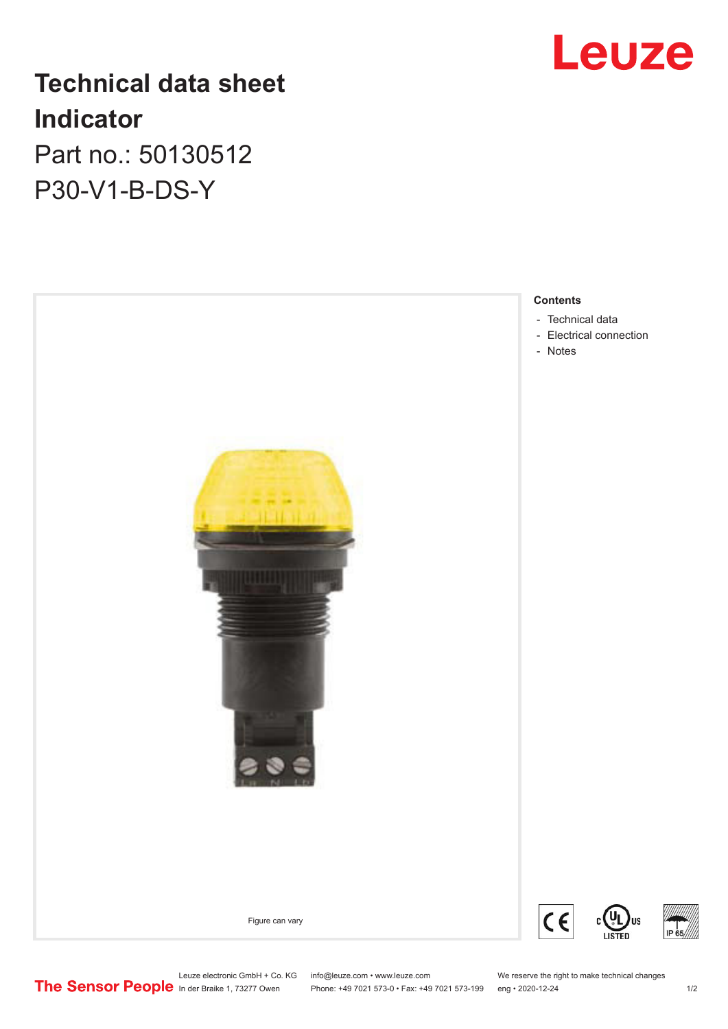

# **Technical data sheet Indicator** Part no.: 50130512

P30-V1-B-DS-Y



Leuze electronic GmbH + Co. KG info@leuze.com • www.leuze.com We reserve the right to make technical changes<br> **The Sensor People** in der Braike 1, 73277 Owen Phone: +49 7021 573-0 • Fax: +49 7021 573-199 eng • 2020-12-24

Phone: +49 7021 573-0 • Fax: +49 7021 573-199 eng • 2020-12-24 1 2